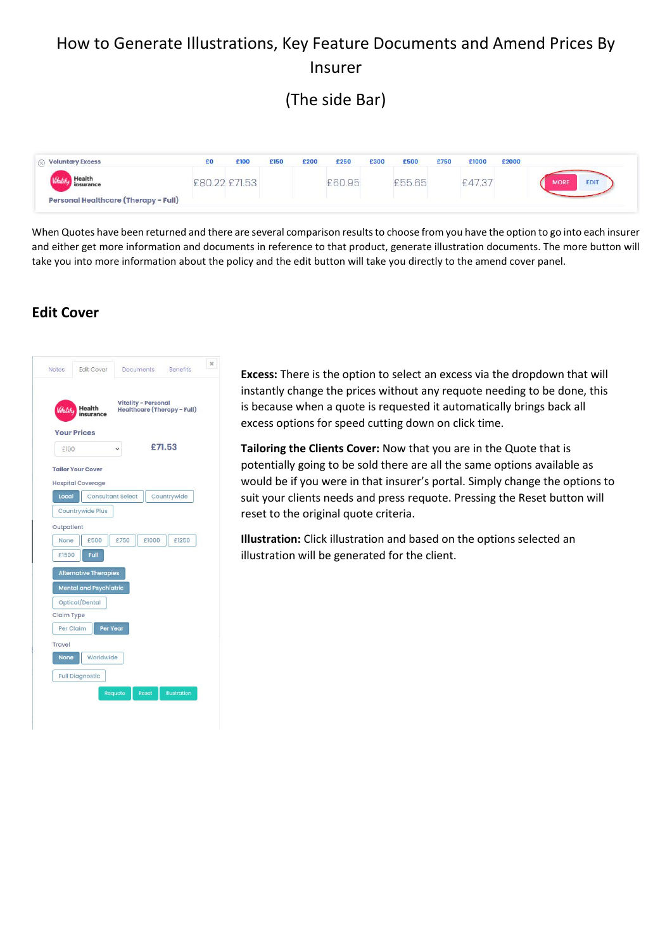## How to Generate Illustrations, Key Feature Documents and Amend Prices By Insurer

(The side Bar)

| <b>Voluntary Excess</b>              | £Ο | £100  | £150 | £200 | £250   | £300 | £500         | £750 | £1000 | £2000                      |
|--------------------------------------|----|-------|------|------|--------|------|--------------|------|-------|----------------------------|
| insurance                            |    | f7153 |      |      | £60.95 |      | <b>E5565</b> |      | .473  | <b>EDIT</b><br><b>MORE</b> |
| Personal Healthcare (Therapy - Full) |    |       |      |      |        |      |              |      |       |                            |

When Quotes have been returned and there are several comparison results to choose from you have the option to go into each insurer and either get more information and documents in reference to that product, generate illustration documents. The more button will take you into more information about the policy and the edit button will take you directly to the amend cover panel.

## **Edit Cover**



**Excess:** There is the option to select an excess via the dropdown that will instantly change the prices without any requote needing to be done, this is because when a quote is requested it automatically brings back all excess options for speed cutting down on click time.

**Tailoring the Clients Cover:** Now that you are in the Quote that is potentially going to be sold there are all the same options available as would be if you were in that insurer's portal. Simply change the options to suit your clients needs and press requote. Pressing the Reset button will reset to the original quote criteria.

**Illustration:** Click illustration and based on the options selected an illustration will be generated for the client.